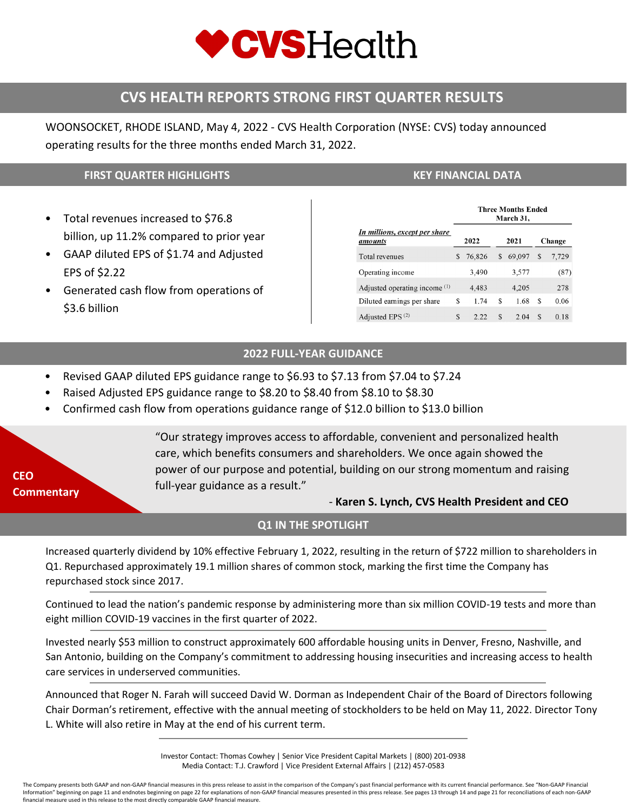

## **CVS HEALTH REPORTS STRONG FIRST QUARTER RESULTS**

WOONSOCKET, RHODE ISLAND, May 4, 2022 - CVS Health Corporation (NYSE: CVS) today announced operating results for the three months ended March 31, 2022.

#### **FIRST QUARTER HIGHLIGHTS**

- Total revenues increased to \$76.8 billion, up 11.2% compared to prior year
- GAAP diluted EPS of \$1.74 and Adjusted EPS of \$2.22
- Generated cash flow from operations of \$3.6 billion

## **KEY FINANCIAL DATA**

|                                          | Three Months Ended<br>March 31. |        |              |        |   |               |  |  |  |
|------------------------------------------|---------------------------------|--------|--------------|--------|---|---------------|--|--|--|
| In millions, except per share<br>amounts |                                 | 2022   |              | 2021   |   | <b>Change</b> |  |  |  |
| Total revenues                           | S                               | 76,826 | S            | 69,097 | S | 7,729         |  |  |  |
| Operating income                         |                                 | 3.490  |              | 3,577  |   | (87)          |  |  |  |
| Adjusted operating income (1)            |                                 | 4,483  |              | 4,205  |   | 278           |  |  |  |
| Diluted earnings per share               | S                               | 1.74   | S            | 1.68   | S | 0.06          |  |  |  |
| Adjusted EPS $(2)$                       | S                               | 2.22   | <sup>S</sup> | 2.04   | S | 0.18          |  |  |  |

#### **2022 FULL-YEAR GUIDANCE**

- Revised GAAP diluted EPS guidance range to \$6.93 to \$7.13 from \$7.04 to \$7.24
- Raised Adjusted EPS guidance range to \$8.20 to \$8.40 from \$8.10 to \$8.30
- Confirmed cash flow from operations guidance range of \$12.0 billion to \$13.0 billion

# **CEO Commentary**

"Our strategy improves access to affordable, convenient and personalized health care, which benefits consumers and shareholders. We once again showed the power of our purpose and potential, building on our strong momentum and raising full-year guidance as a result."

#### - **Karen S. Lynch, CVS Health President and CEO**

## **Q1 IN THE SPOTLIGHT**

Increased quarterly dividend by 10% effective February 1, 2022, resulting in the return of \$722 million to shareholders in Q1. Repurchased approximately 19.1 million shares of common stock, marking the first time the Company has repurchased stock since 2017.

Continued to lead the nation's pandemic response by administering more than six million COVID-19 tests and more than eight million COVID-19 vaccines in the first quarter of 2022.

Invested nearly \$53 million to construct approximately 600 affordable housing units in Denver, Fresno, Nashville, and San Antonio, building on the Company's commitment to addressing housing insecurities and increasing access to health care services in underserved communities.

Announced that Roger N. Farah will succeed David W. Dorman as Independent Chair of the Board of Directors following Chair Dorman's retirement, effective with the annual meeting of stockholders to be held on May 11, 2022. Director Tony L. White will also retire in May at the end of his current term.

> Investor Contact: Thomas Cowhey | Senior Vice President Capital Markets | (800) 201-0938 Media Contact: T.J. Crawford | Vice President External Affairs | (212) 457-0583

The Company presents both GAAP and non-GAAP financial measures in this press release to assist in the comparison of the Company's past financial performance with its current financial performance. See "Non-GAAP Financial Information" beginning on page 11 and endnotes beginning on page 22 for explanations of non-GAAP financial measures presented in this press release. See pages 13 through 14 and page 21 for reconciliations of each non-GAAP financial measure used in this release to the most directly comparable GAAP financial measure.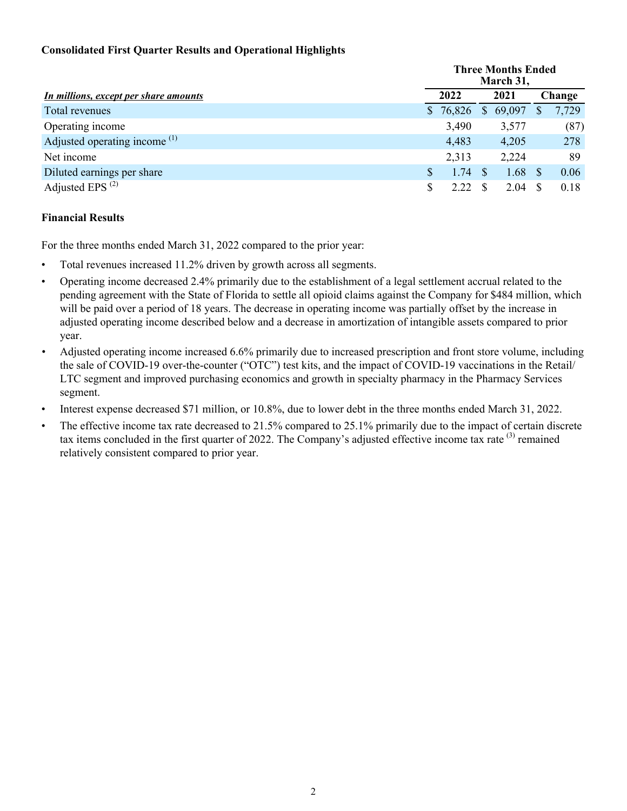## **Consolidated First Quarter Results and Operational Highlights**

|                                          |    | <b>Three Months Ended</b><br>March 31, |              |        |  |        |
|------------------------------------------|----|----------------------------------------|--------------|--------|--|--------|
| In millions, except per share amounts    |    | 2022                                   |              | 2021   |  | Change |
| Total revenues                           | S. | 76,826                                 | $\mathbb{S}$ | 69,097 |  | 7,729  |
| Operating income                         |    | 3,490                                  |              | 3,577  |  | (87)   |
| Adjusted operating income <sup>(1)</sup> |    | 4,483                                  |              | 4,205  |  | 278    |
| Net income                               |    | 2,313                                  |              | 2,224  |  | 89     |
| Diluted earnings per share               | S  | 1.74                                   |              | 1.68   |  | 0.06   |
| Adjusted EPS $^{(2)}$                    |    | 2.22                                   |              | 2.04   |  | 0.18   |

## **Financial Results**

For the three months ended March 31, 2022 compared to the prior year:

- Total revenues increased 11.2% driven by growth across all segments.
- Operating income decreased 2.4% primarily due to the establishment of a legal settlement accrual related to the pending agreement with the State of Florida to settle all opioid claims against the Company for \$484 million, which will be paid over a period of 18 years. The decrease in operating income was partially offset by the increase in adjusted operating income described below and a decrease in amortization of intangible assets compared to prior year.
- *•* Adjusted operating income increased 6.6% primarily due to increased prescription and front store volume, including the sale of COVID-19 over-the-counter ("OTC") test kits, and the impact of COVID-19 vaccinations in the Retail/ LTC segment and improved purchasing economics and growth in specialty pharmacy in the Pharmacy Services segment.
- Interest expense decreased \$71 million, or 10.8%, due to lower debt in the three months ended March 31, 2022.
- The effective income tax rate decreased to 21.5% compared to 25.1% primarily due to the impact of certain discrete tax items concluded in the first quarter of 2022. The Company's adjusted effective income tax rate <sup>(3)</sup> remained relatively consistent compared to prior year.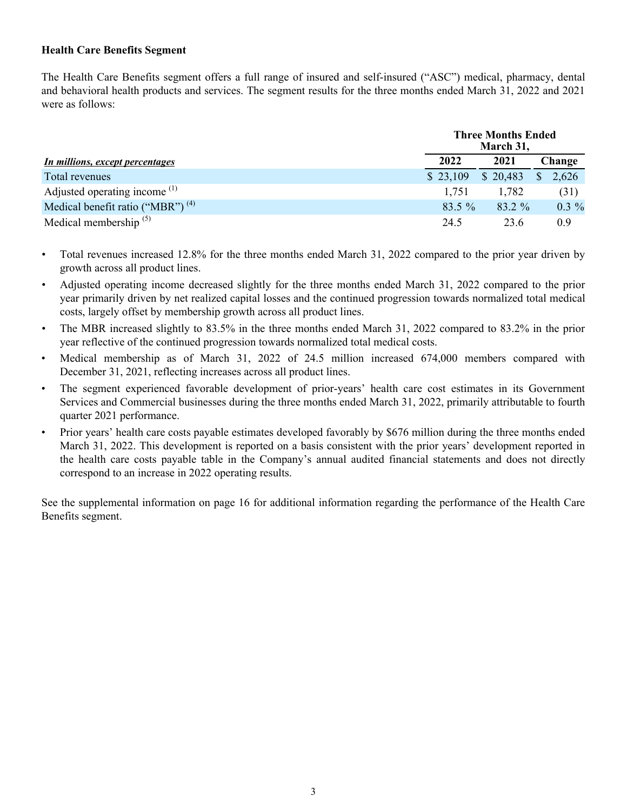#### **Health Care Benefits Segment**

The Health Care Benefits segment offers a full range of insured and self-insured ("ASC") medical, pharmacy, dental and behavioral health products and services. The segment results for the three months ended March 31, 2022 and 2021 were as follows:

|                                          |           | <b>Three Months Ended</b><br>March 31, |             |  |  |  |  |  |  |
|------------------------------------------|-----------|----------------------------------------|-------------|--|--|--|--|--|--|
| In millions, except percentages          | 2022      | 2021                                   | Change      |  |  |  |  |  |  |
| Total revenues                           | \$23,109  | \$20,483                               | 2,626<br>\$ |  |  |  |  |  |  |
| Adjusted operating income <sup>(1)</sup> | 1.751     | 1,782                                  | (31)        |  |  |  |  |  |  |
| Medical benefit ratio ("MBR") $(4)$      | $83.5 \%$ | 83.2 %                                 | $0.3\%$     |  |  |  |  |  |  |
| Medical membership $(5)$                 | 24.5      | 23.6                                   | 0.9         |  |  |  |  |  |  |

- *•* Total revenues increased 12.8% for the three months ended March 31, 2022 compared to the prior year driven by growth across all product lines.
- *•* Adjusted operating income decreased slightly for the three months ended March 31, 2022 compared to the prior year primarily driven by net realized capital losses and the continued progression towards normalized total medical costs, largely offset by membership growth across all product lines.
- The MBR increased slightly to 83.5% in the three months ended March 31, 2022 compared to 83.2% in the prior year reflective of the continued progression towards normalized total medical costs.
- Medical membership as of March 31, 2022 of 24.5 million increased 674,000 members compared with December 31, 2021, reflecting increases across all product lines.
- The segment experienced favorable development of prior-years' health care cost estimates in its Government Services and Commercial businesses during the three months ended March 31, 2022, primarily attributable to fourth quarter 2021 performance.
- Prior years' health care costs payable estimates developed favorably by \$676 million during the three months ended March 31, 2022. This development is reported on a basis consistent with the prior years' development reported in the health care costs payable table in the Company's annual audited financial statements and does not directly correspond to an increase in 2022 operating results.

See the supplemental information on page [16](#page-15-0) for additional information regarding the performance of the Health Care Benefits segment.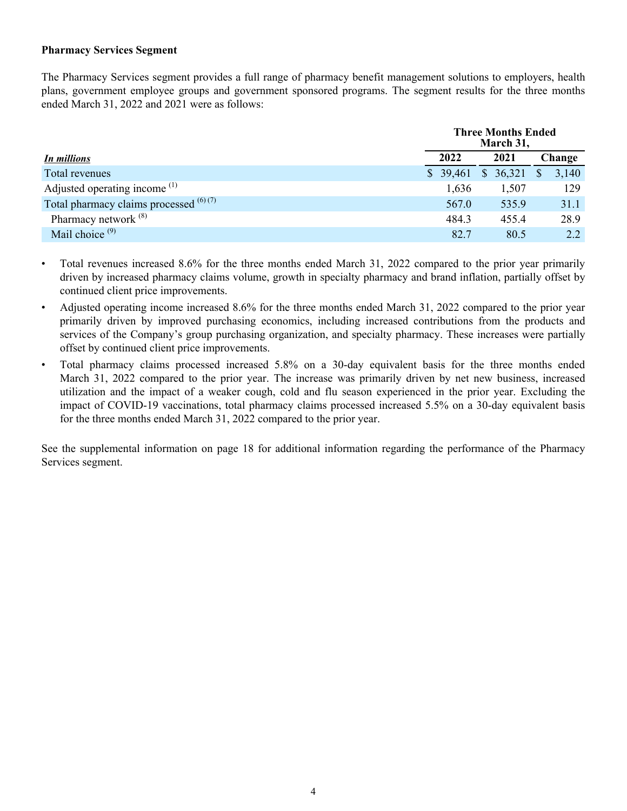#### **Pharmacy Services Segment**

The Pharmacy Services segment provides a full range of pharmacy benefit management solutions to employers, health plans, government employee groups and government sponsored programs. The segment results for the three months ended March 31, 2022 and 2021 were as follows:

|                                          |          | <b>Three Months Ended</b><br>March 31, |        |          |        |  |  |
|------------------------------------------|----------|----------------------------------------|--------|----------|--------|--|--|
| In millions                              | 2022     |                                        | 2021   |          | Change |  |  |
| Total revenues                           | \$39,461 | $\mathbb{S}^-$                         | 36,321 | <b>S</b> | 3,140  |  |  |
| Adjusted operating income <sup>(1)</sup> | 1,636    |                                        | 1,507  |          | 129    |  |  |
| Total pharmacy claims processed $(6)(7)$ | 567.0    |                                        | 535.9  |          | 31.1   |  |  |
| Pharmacy network <sup>(8)</sup>          | 484.3    |                                        | 455.4  |          | 28.9   |  |  |
| Mail choice $(9)$                        | 82.7     |                                        | 80.5   |          | 22     |  |  |

- Total revenues increased 8.6% for the three months ended March 31, 2022 compared to the prior year primarily driven by increased pharmacy claims volume, growth in specialty pharmacy and brand inflation, partially offset by continued client price improvements.
- Adjusted operating income increased 8.6% for the three months ended March 31, 2022 compared to the prior year primarily driven by improved purchasing economics, including increased contributions from the products and services of the Company's group purchasing organization, and specialty pharmacy. These increases were partially offset by continued client price improvements.
- Total pharmacy claims processed increased 5.8% on a 30-day equivalent basis for the three months ended March 31, 2022 compared to the prior year. The increase was primarily driven by net new business, increased utilization and the impact of a weaker cough, cold and flu season experienced in the prior year. Excluding the impact of COVID-19 vaccinations, total pharmacy claims processed increased 5.5% on a 30-day equivalent basis for the three months ended March 31, 2022 compared to the prior year.

See the supplemental information on page [18](#page-17-0) for additional information regarding the performance of the Pharmacy Services segment.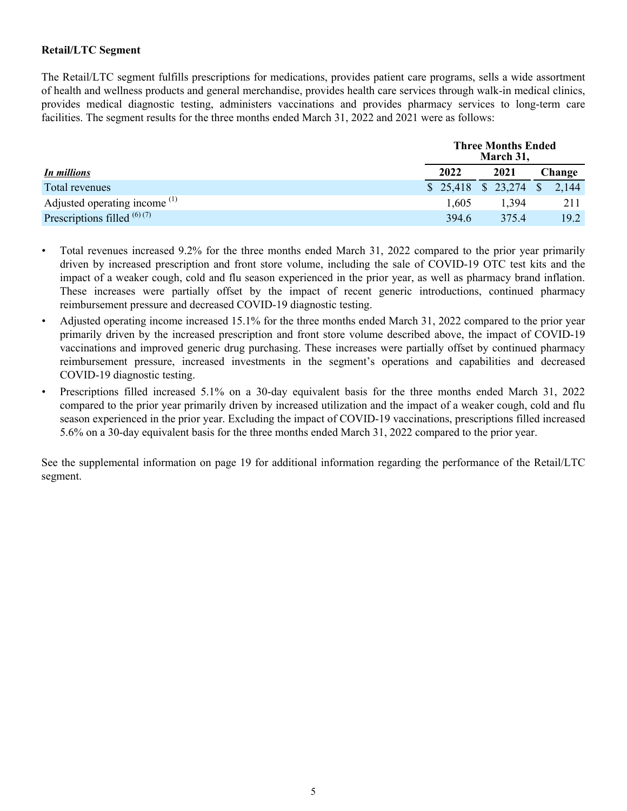#### **Retail/LTC Segment**

The Retail/LTC segment fulfills prescriptions for medications, provides patient care programs, sells a wide assortment of health and wellness products and general merchandise, provides health care services through walk-in medical clinics, provides medical diagnostic testing, administers vaccinations and provides pharmacy services to long-term care facilities. The segment results for the three months ended March 31, 2022 and 2021 were as follows:

|                                          |       | <b>Three Months Ended</b><br>March 31, |        |
|------------------------------------------|-------|----------------------------------------|--------|
| In millions                              | 2022  | 2021                                   | Change |
| Total revenues                           |       | $$25,418$ $$23,274$ $$$                | 2.144  |
| Adjusted operating income <sup>(1)</sup> | 1.605 | 1.394                                  | 211    |
| Prescriptions filled $^{(6)(7)}$         | 394.6 | 3754                                   | 19.2   |

- *•* Total revenues increased 9.2% for the three months ended March 31, 2022 compared to the prior year primarily driven by increased prescription and front store volume, including the sale of COVID-19 OTC test kits and the impact of a weaker cough, cold and flu season experienced in the prior year, as well as pharmacy brand inflation. These increases were partially offset by the impact of recent generic introductions, continued pharmacy reimbursement pressure and decreased COVID-19 diagnostic testing.
- *•* Adjusted operating income increased 15.1% for the three months ended March 31, 2022 compared to the prior year primarily driven by the increased prescription and front store volume described above, the impact of COVID-19 vaccinations and improved generic drug purchasing. These increases were partially offset by continued pharmacy reimbursement pressure, increased investments in the segment's operations and capabilities and decreased COVID-19 diagnostic testing.
- *•* Prescriptions filled increased 5.1% on a 30-day equivalent basis for the three months ended March 31, 2022 compared to the prior year primarily driven by increased utilization and the impact of a weaker cough, cold and flu season experienced in the prior year. Excluding the impact of COVID-19 vaccinations, prescriptions filled increased 5.6% on a 30-day equivalent basis for the three months ended March 31, 2022 compared to the prior year.

See the supplemental information on page [19](#page-18-0) for additional information regarding the performance of the Retail/LTC segment.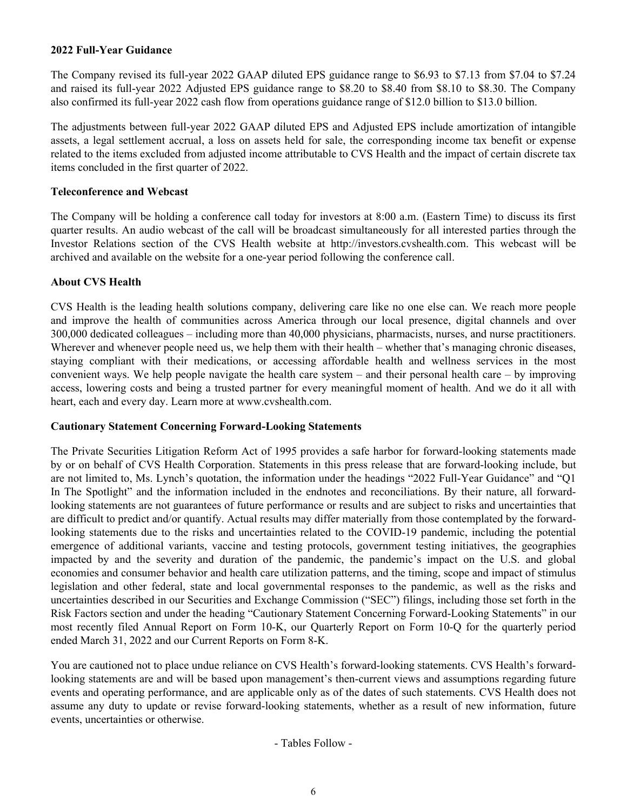#### **2022 Full-Year Guidance**

The Company revised its full-year 2022 GAAP diluted EPS guidance range to \$6.93 to \$7.13 from \$7.04 to \$7.24 and raised its full-year 2022 Adjusted EPS guidance range to \$8.20 to \$8.40 from \$8.10 to \$8.30. The Company also confirmed its full-year 2022 cash flow from operations guidance range of \$12.0 billion to \$13.0 billion.

The adjustments between full-year 2022 GAAP diluted EPS and Adjusted EPS include amortization of intangible assets, a legal settlement accrual, a loss on assets held for sale, the corresponding income tax benefit or expense related to the items excluded from adjusted income attributable to CVS Health and the impact of certain discrete tax items concluded in the first quarter of 2022.

#### **Teleconference and Webcast**

The Company will be holding a conference call today for investors at 8:00 a.m. (Eastern Time) to discuss its first quarter results. An audio webcast of the call will be broadcast simultaneously for all interested parties through the Investor Relations section of the CVS Health website at [http://investors.cvshealth.com.](http://investors.cvshealth.com) This webcast will be archived and available on the website for a one-year period following the conference call.

#### **About CVS Health**

CVS Health is the leading health solutions company, delivering care like no one else can. We reach more people and improve the health of communities across America through our local presence, digital channels and over 300,000 dedicated colleagues – including more than 40,000 physicians, pharmacists, nurses, and nurse practitioners. Wherever and whenever people need us, we help them with their health – whether that's managing chronic diseases, staying compliant with their medications, or accessing affordable health and wellness services in the most convenient ways. We help people navigate the health care system – and their personal health care – by improving access, lowering costs and being a trusted partner for every meaningful moment of health. And we do it all with heart, each and every day. Learn more at [www.cvshealth.com](http://www.cvshealth.com).

#### **Cautionary Statement Concerning Forward-Looking Statements**

The Private Securities Litigation Reform Act of 1995 provides a safe harbor for forward-looking statements made by or on behalf of CVS Health Corporation. Statements in this press release that are forward-looking include, but are not limited to, Ms. Lynch's quotation, the information under the headings "2022 Full-Year Guidance" and "Q1 In The Spotlight" and the information included in the endnotes and reconciliations. By their nature, all forwardlooking statements are not guarantees of future performance or results and are subject to risks and uncertainties that are difficult to predict and/or quantify. Actual results may differ materially from those contemplated by the forwardlooking statements due to the risks and uncertainties related to the COVID-19 pandemic, including the potential emergence of additional variants, vaccine and testing protocols, government testing initiatives, the geographies impacted by and the severity and duration of the pandemic, the pandemic's impact on the U.S. and global economies and consumer behavior and health care utilization patterns, and the timing, scope and impact of stimulus legislation and other federal, state and local governmental responses to the pandemic, as well as the risks and uncertainties described in our Securities and Exchange Commission ("SEC") filings, including those set forth in the Risk Factors section and under the heading "Cautionary Statement Concerning Forward-Looking Statements" in our most recently filed Annual Report on Form 10-K, our Quarterly Report on Form 10-Q for the quarterly period ended March 31, 2022 and our Current Reports on Form 8-K.

You are cautioned not to place undue reliance on CVS Health's forward-looking statements. CVS Health's forwardlooking statements are and will be based upon management's then-current views and assumptions regarding future events and operating performance, and are applicable only as of the dates of such statements. CVS Health does not assume any duty to update or revise forward-looking statements, whether as a result of new information, future events, uncertainties or otherwise.

#### - Tables Follow -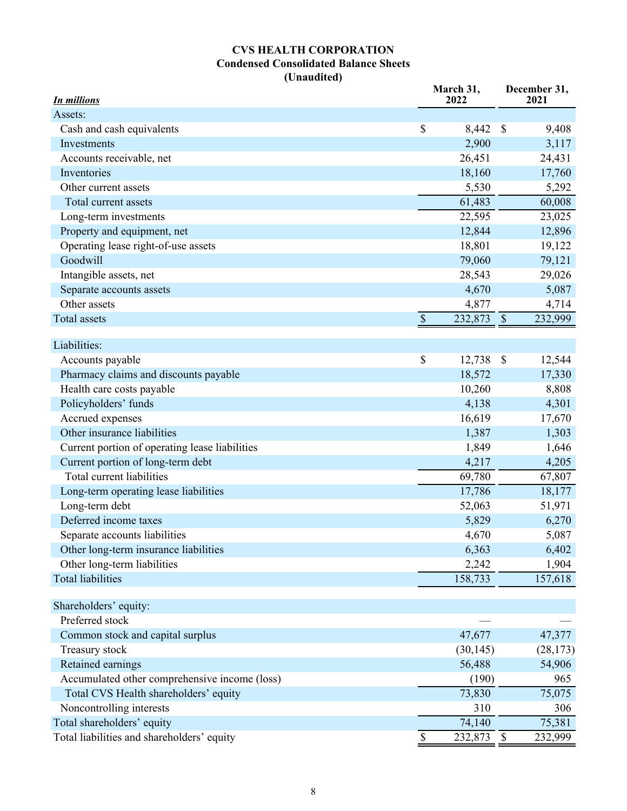## **CVS HEALTH CORPORATION Condensed Consolidated Balance Sheets (Unaudited)**

| <b>In millions</b>                                 |                           | March 31,<br>2022 | December 31,<br>2021 |           |  |
|----------------------------------------------------|---------------------------|-------------------|----------------------|-----------|--|
| Assets:                                            |                           |                   |                      |           |  |
| Cash and cash equivalents                          | \$                        | 8,442             | \$                   | 9,408     |  |
| Investments                                        |                           | 2,900             |                      | 3,117     |  |
| Accounts receivable, net                           |                           | 26,451            |                      | 24,431    |  |
| Inventories                                        |                           | 18,160            |                      | 17,760    |  |
| Other current assets                               |                           | 5,530             |                      | 5,292     |  |
| Total current assets                               |                           | 61,483            |                      | 60,008    |  |
| Long-term investments                              |                           | 22,595            |                      | 23,025    |  |
| Property and equipment, net                        |                           | 12,844            |                      | 12,896    |  |
| Operating lease right-of-use assets                |                           | 18,801            |                      | 19,122    |  |
| Goodwill                                           |                           | 79,060            |                      | 79,121    |  |
|                                                    |                           |                   |                      |           |  |
| Intangible assets, net<br>Separate accounts assets |                           | 28,543<br>4,670   |                      | 29,026    |  |
| Other assets                                       |                           | 4,877             |                      | 5,087     |  |
| <b>Total assets</b>                                | $\boldsymbol{\mathsf{S}}$ |                   |                      | 4,714     |  |
|                                                    |                           | 232,873           | $\mathcal{S}$        | 232,999   |  |
| Liabilities:                                       |                           |                   |                      |           |  |
| Accounts payable                                   | \$                        | 12,738            | $\mathcal{S}$        | 12,544    |  |
| Pharmacy claims and discounts payable              |                           | 18,572            |                      | 17,330    |  |
| Health care costs payable                          |                           | 10,260            |                      | 8,808     |  |
| Policyholders' funds                               |                           | 4,138             |                      | 4,301     |  |
| Accrued expenses                                   |                           | 16,619            |                      | 17,670    |  |
| Other insurance liabilities                        |                           | 1,387             |                      | 1,303     |  |
| Current portion of operating lease liabilities     |                           | 1,849             |                      | 1,646     |  |
| Current portion of long-term debt                  |                           | 4,217             |                      | 4,205     |  |
| Total current liabilities                          |                           | 69,780            |                      | 67,807    |  |
| Long-term operating lease liabilities              |                           | 17,786            |                      | 18,177    |  |
| Long-term debt                                     |                           | 52,063            |                      | 51,971    |  |
| Deferred income taxes                              |                           | 5,829             |                      | 6,270     |  |
| Separate accounts liabilities                      |                           | 4,670             |                      | 5,087     |  |
| Other long-term insurance liabilities              |                           | 6,363             |                      | 6,402     |  |
| Other long-term liabilities                        |                           | 2,242             |                      | 1,904     |  |
| <b>Total liabilities</b>                           |                           | 158,733           |                      | 157,618   |  |
|                                                    |                           |                   |                      |           |  |
| Shareholders' equity:                              |                           |                   |                      |           |  |
| Preferred stock                                    |                           |                   |                      |           |  |
| Common stock and capital surplus                   |                           | 47,677            |                      | 47,377    |  |
| Treasury stock                                     |                           | (30, 145)         |                      | (28, 173) |  |
| Retained earnings                                  |                           | 56,488            |                      | 54,906    |  |
| Accumulated other comprehensive income (loss)      |                           | (190)             |                      | 965       |  |
| Total CVS Health shareholders' equity              |                           | 73,830            |                      | 75,075    |  |
| Noncontrolling interests                           |                           | 310               |                      | 306       |  |
| Total shareholders' equity                         |                           | 74,140            |                      | 75,381    |  |
| Total liabilities and shareholders' equity         | $\$$                      | 232,873           | \$                   | 232,999   |  |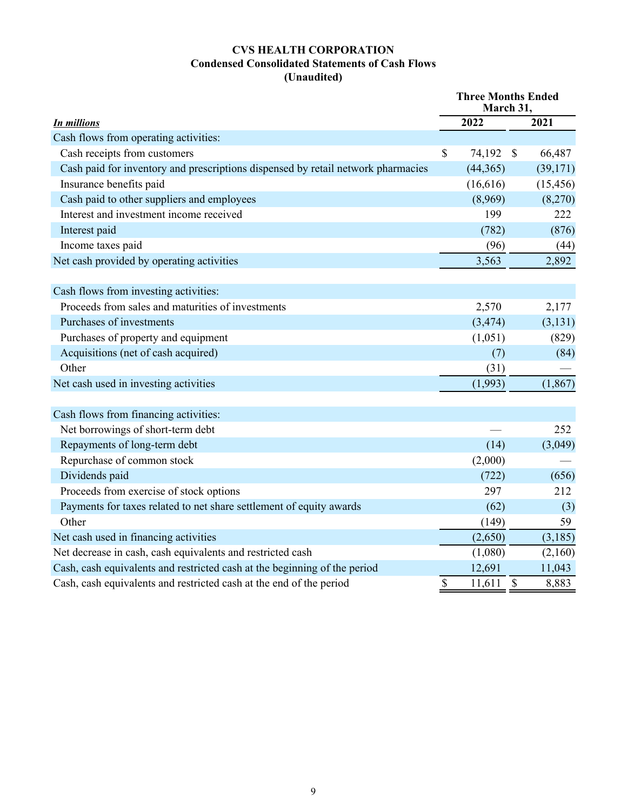Health Care Benefits Segment

The Health Care Benefits segment offers a full range of insured and self-insured (<sup>2</sup> ASC<sup>3</sup>) medical, pharmacy, denta and behavioral health products and services. The segment results for the three months ended March 31, 2022 and 2021 were as follows:

|                                                               | <b>Three Months Ended</b><br>March 31,                |         |
|---------------------------------------------------------------|-------------------------------------------------------|---------|
| In millions, except percentages                               | 2022<br>2021                                          | Change  |
| <b>Total revenues</b>                                         | $$23,109$ $$20, \square$ $38$ $2, \square$ $2\square$ |         |
| Adjusted operating incom $\mathbf{E}^{\text{O}}$              | $1,\square \square 1 \qquad 1,\square \square 2$      | (31)    |
| Medical benefit ratio $(^2$ MBR <sup><math>(3)</math></sup> ) | $\Box$ 3. $\Box$ % $\Box$ 3.2 %                       | $0.3\%$ |
| Medical membership $\Box$                                     | $2\square$ .<br>$23. \square$                         | 0.9     |

- $\ddagger$  Total revenues increased 12.  $\heartsuit$  for the three months ended March 31, 2022 compared to the prior vear driven by growth across all product lines.
- ‡ Adjusted operating income decreased slightly for the three months ended March 31, 2022 compared to the prior year primarily driven by net reali□ ed capital losses and the continued progression towards normali□ ed total medic costs, largely offset by membership growth across all productes.
- $\ddagger$  The MBR increased slightly to  $\Box$  3. $\Box$  % in the three months ended March 31, 2022 compared to  $\Box$  3.2% in the prior year reflective of the continued progression towards normalitoted medical costs.
- Medical membership as of March 31, 2022 of  $2\square \square \square$  million increased  $\square \square \square$ ,000 members compared wi  $\bullet$ December 31, 2021, reflecting increases across all product lines.
- The segment experienced favorable development of prior-yearsµ health care cost estimates in its Government Services and Commercial businesses during the three months ended March 31, 2022, primarily attributable to fourth  $\Box$  uarter 2021 performance.
- Prior yearsµ health care costs payable estimates developed favorably by  $\mathcal{S} \square \square \square$  million during the three months en March 31, 2022. This development is reported on a basis consistent with the prior yearsµ development reported in the health care costs payable table in the Companyµ s annual audited financial statements and does not directly correspond to an increase in 2022 operating results.

See the supplemental information on page for additional information regarding the performance of the Health Care Benefits segment.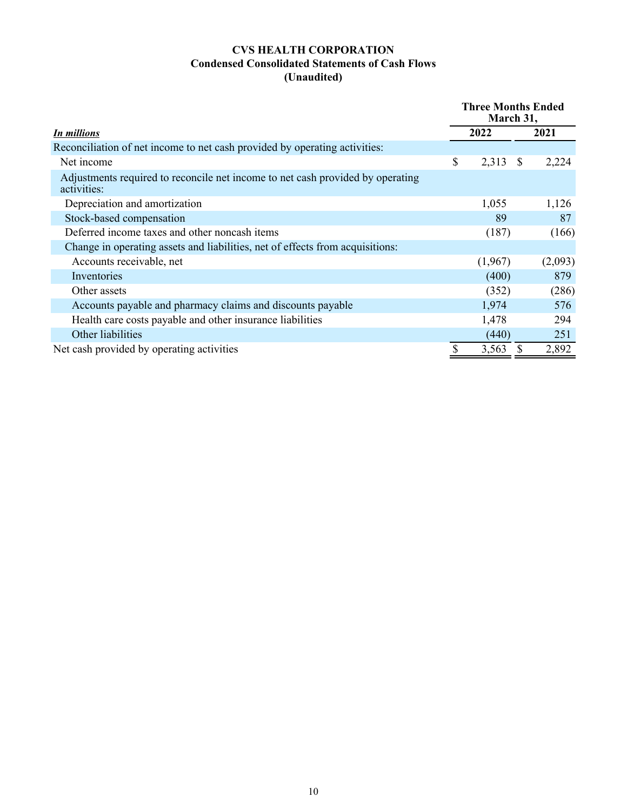## **CVS HEALTH CORPORATION Condensed Consolidated Statements of Cash Flows (Unaudited)**

|                                                                                               | <b>Three Months Ended</b><br>March 31, |         |    |         |  |
|-----------------------------------------------------------------------------------------------|----------------------------------------|---------|----|---------|--|
| In millions                                                                                   |                                        | 2022    |    | 2021    |  |
| Reconciliation of net income to net cash provided by operating activities:                    |                                        |         |    |         |  |
| Net income                                                                                    | \$                                     | 2,313   | -S | 2,224   |  |
| Adjustments required to reconcile net income to net cash provided by operating<br>activities: |                                        |         |    |         |  |
| Depreciation and amortization                                                                 |                                        | 1,055   |    | 1,126   |  |
| Stock-based compensation                                                                      |                                        | 89      |    | 87      |  |
| Deferred income taxes and other noncash items                                                 |                                        | (187)   |    | (166)   |  |
| Change in operating assets and liabilities, net of effects from acquisitions:                 |                                        |         |    |         |  |
| Accounts receivable, net                                                                      |                                        | (1,967) |    | (2,093) |  |
| Inventories                                                                                   |                                        | (400)   |    | 879     |  |
| Other assets                                                                                  |                                        | (352)   |    | (286)   |  |
| Accounts payable and pharmacy claims and discounts payable                                    |                                        | 1,974   |    | 576     |  |
| Health care costs payable and other insurance liabilities                                     |                                        | 1,478   |    | 294     |  |
| Other liabilities                                                                             |                                        | (440)   |    | 251     |  |
| Net cash provided by operating activities                                                     |                                        | 3,563   |    | 2,892   |  |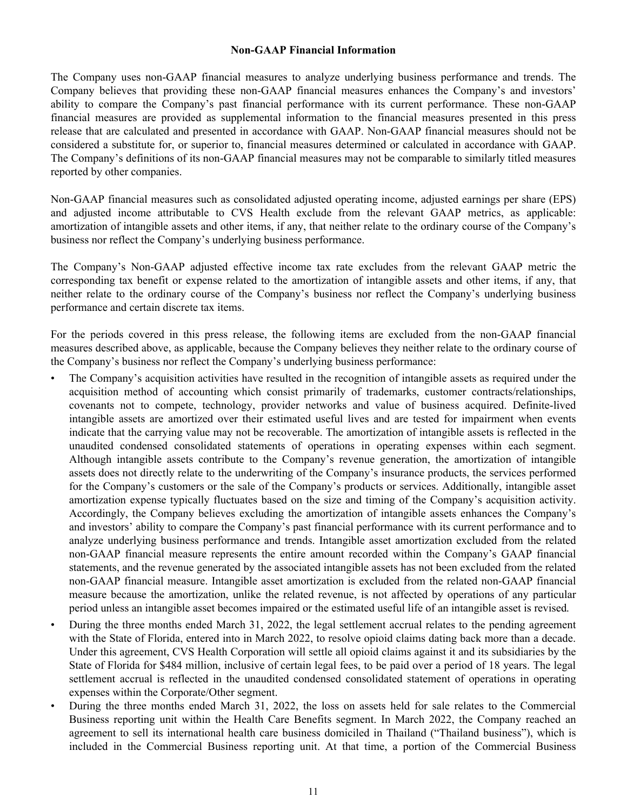#### **Non-GAAP Financial Information**

The Company uses non-GAAP financial measures to analyze underlying business performance and trends. The Company believes that providing these non-GAAP financial measures enhances the Company's and investors' ability to compare the Company's past financial performance with its current performance. These non-GAAP financial measures are provided as supplemental information to the financial measures presented in this press release that are calculated and presented in accordance with GAAP. Non-GAAP financial measures should not be considered a substitute for, or superior to, financial measures determined or calculated in accordance with GAAP. The Company's definitions of its non-GAAP financial measures may not be comparable to similarly titled measures reported by other companies.

Non-GAAP financial measures such as consolidated adjusted operating income, adjusted earnings per share (EPS) and adjusted income attributable to CVS Health exclude from the relevant GAAP metrics, as applicable: amortization of intangible assets and other items, if any, that neither relate to the ordinary course of the Company's business nor reflect the Company's underlying business performance.

The Company's Non-GAAP adjusted effective income tax rate excludes from the relevant GAAP metric the corresponding tax benefit or expense related to the amortization of intangible assets and other items, if any, that neither relate to the ordinary course of the Company's business nor reflect the Company's underlying business performance and certain discrete tax items.

For the periods covered in this press release, the following items are excluded from the non-GAAP financial measures described above, as applicable, because the Company believes they neither relate to the ordinary course of the Company's business nor reflect the Company's underlying business performance:

- The Company's acquisition activities have resulted in the recognition of intangible assets as required under the acquisition method of accounting which consist primarily of trademarks, customer contracts/relationships, covenants not to compete, technology, provider networks and value of business acquired. Definite-lived intangible assets are amortized over their estimated useful lives and are tested for impairment when events indicate that the carrying value may not be recoverable. The amortization of intangible assets is reflected in the unaudited condensed consolidated statements of operations in operating expenses within each segment. Although intangible assets contribute to the Company's revenue generation, the amortization of intangible assets does not directly relate to the underwriting of the Company's insurance products, the services performed for the Company's customers or the sale of the Company's products or services. Additionally, intangible asset amortization expense typically fluctuates based on the size and timing of the Company's acquisition activity. Accordingly, the Company believes excluding the amortization of intangible assets enhances the Company's and investors' ability to compare the Company's past financial performance with its current performance and to analyze underlying business performance and trends. Intangible asset amortization excluded from the related non-GAAP financial measure represents the entire amount recorded within the Company's GAAP financial statements, and the revenue generated by the associated intangible assets has not been excluded from the related non-GAAP financial measure. Intangible asset amortization is excluded from the related non-GAAP financial measure because the amortization, unlike the related revenue, is not affected by operations of any particular period unless an intangible asset becomes impaired or the estimated useful life of an intangible asset is revised.
- During the three months ended March 31, 2022, the legal settlement accrual relates to the pending agreement with the State of Florida, entered into in March 2022, to resolve opioid claims dating back more than a decade. Under this agreement, CVS Health Corporation will settle all opioid claims against it and its subsidiaries by the State of Florida for \$484 million, inclusive of certain legal fees, to be paid over a period of 18 years. The legal settlement accrual is reflected in the unaudited condensed consolidated statement of operations in operating expenses within the Corporate/Other segment.
- During the three months ended March 31, 2022, the loss on assets held for sale relates to the Commercial Business reporting unit within the Health Care Benefits segment. In March 2022, the Company reached an agreement to sell its international health care business domiciled in Thailand ("Thailand business"), which is included in the Commercial Business reporting unit. At that time, a portion of the Commercial Business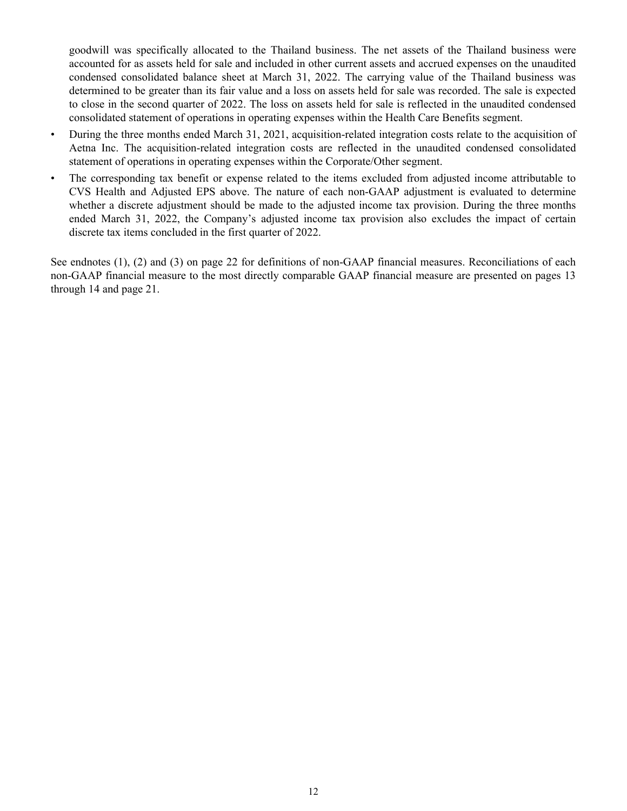goodwill was specifically allocated to the Thailand business. The net assets of the Thailand business were accounted for as assets held for sale and included in other current assets and accrued expenses on the unaudited condensed consolidated balance sheet at March 31, 2022. The carrying value of the Thailand business was determined to be greater than its fair value and a loss on assets held for sale was recorded. The sale is expected to close in the second quarter of 2022. The loss on assets held for sale is reflected in the unaudited condensed consolidated statement of operations in operating expenses within the Health Care Benefits segment.

- During the three months ended March 31, 2021, acquisition-related integration costs relate to the acquisition of Aetna Inc. The acquisition-related integration costs are reflected in the unaudited condensed consolidated statement of operations in operating expenses within the Corporate/Other segment.
- The corresponding tax benefit or expense related to the items excluded from adjusted income attributable to CVS Health and Adjusted EPS above. The nature of each non-GAAP adjustment is evaluated to determine whether a discrete adjustment should be made to the adjusted income tax provision. During the three months ended March 31, 2022, the Company's adjusted income tax provision also excludes the impact of certain discrete tax items concluded in the first quarter of 2022.

See endnotes (1), (2) and (3) on page [22](#page-21-0) for definitions of non-GAAP financial measures. Reconciliations of each non-GAAP financial measure to the most directly comparable GAAP financial measure are presented on pages [13](#page-12-0) through [14](#page-13-0) and page [21](#page-20-0).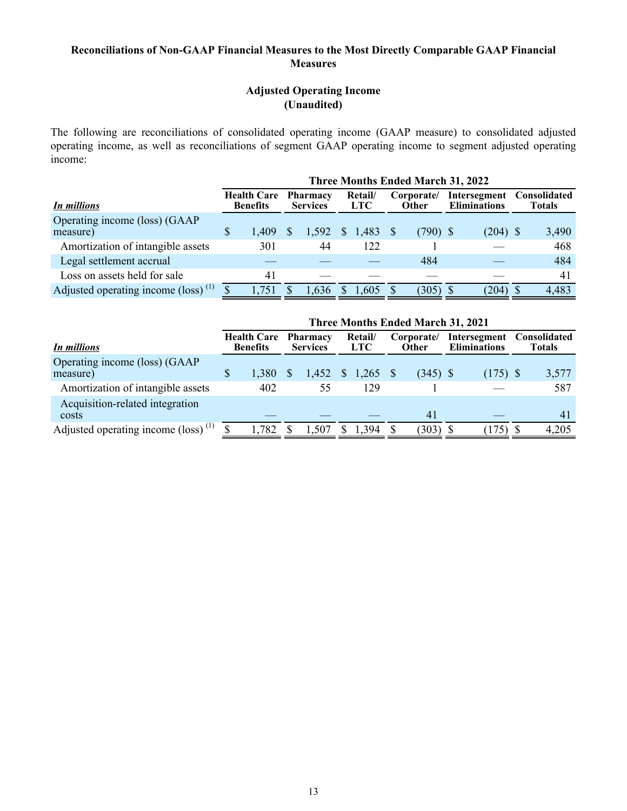## <span id="page-12-0"></span>**Reconciliations of Non-GAAP Financial Measures to the Most Directly Comparable GAAP Financial Measures**

## **Adjusted Operating Income (Unaudited)**

The following are reconciliations of consolidated operating income (GAAP measure) to consolidated adjusted operating income, as well as reconciliations of segment GAAP operating income to segment adjusted operating income:

|                                                          | <b>Three Months Ended March 31, 2022</b> |                                       |  |                             |              |                       |  |                            |  |                                     |  |                        |
|----------------------------------------------------------|------------------------------------------|---------------------------------------|--|-----------------------------|--------------|-----------------------|--|----------------------------|--|-------------------------------------|--|------------------------|
| In millions                                              |                                          | <b>Health Care</b><br><b>Benefits</b> |  | Pharmacy<br><b>Services</b> |              | Retail/<br><b>LTC</b> |  | Corporate/<br><b>Other</b> |  | Intersegment<br><b>Eliminations</b> |  | Consolidated<br>Totals |
| Operating income (loss) (GAAP<br>measure)                |                                          | 1.409                                 |  | 1.592                       | <sup>S</sup> | 1,483                 |  | $(790)$ \$                 |  | $(204)$ \$                          |  | 3,490                  |
| Amortization of intangible assets                        |                                          | 301                                   |  | 44                          |              | 122                   |  |                            |  |                                     |  | 468                    |
| Legal settlement accrual                                 |                                          |                                       |  |                             |              |                       |  | 484                        |  |                                     |  | 484                    |
| Loss on assets held for sale                             |                                          | 41                                    |  |                             |              |                       |  |                            |  |                                     |  | 41                     |
| Adjusted operating income $(\text{loss})$ <sup>(1)</sup> |                                          | 1.751                                 |  | 1,636                       |              | 1.605                 |  | (305)                      |  | 204)                                |  | 4,483                  |

|                                                          | <b>Three Months Ended March 31, 2021</b> |                                       |  |                                    |  |                       |  |                            |  |                                     |  |                               |
|----------------------------------------------------------|------------------------------------------|---------------------------------------|--|------------------------------------|--|-----------------------|--|----------------------------|--|-------------------------------------|--|-------------------------------|
| In millions                                              |                                          | <b>Health Care</b><br><b>Benefits</b> |  | <b>Pharmacy</b><br><b>Services</b> |  | Retail/<br><b>LTC</b> |  | Corporate/<br><b>Other</b> |  | Intersegment<br><b>Eliminations</b> |  | Consolidated<br><b>Totals</b> |
| Operating income (loss) (GAAP<br>measure)                |                                          | 1,380                                 |  | 1.452                              |  | $\frac{1,265}{ }$     |  | $(345)$ \$                 |  | $(175)$ \$                          |  | 3,577                         |
| Amortization of intangible assets                        |                                          | 402                                   |  | 55                                 |  | 129                   |  |                            |  |                                     |  | 587                           |
| Acquisition-related integration<br>costs                 |                                          |                                       |  |                                    |  |                       |  | 41                         |  |                                     |  | 41                            |
| Adjusted operating income $(\text{loss})$ <sup>(1)</sup> |                                          | 1,782                                 |  | 1,507                              |  | 1,394                 |  | (303)                      |  | 175)                                |  | 4,205                         |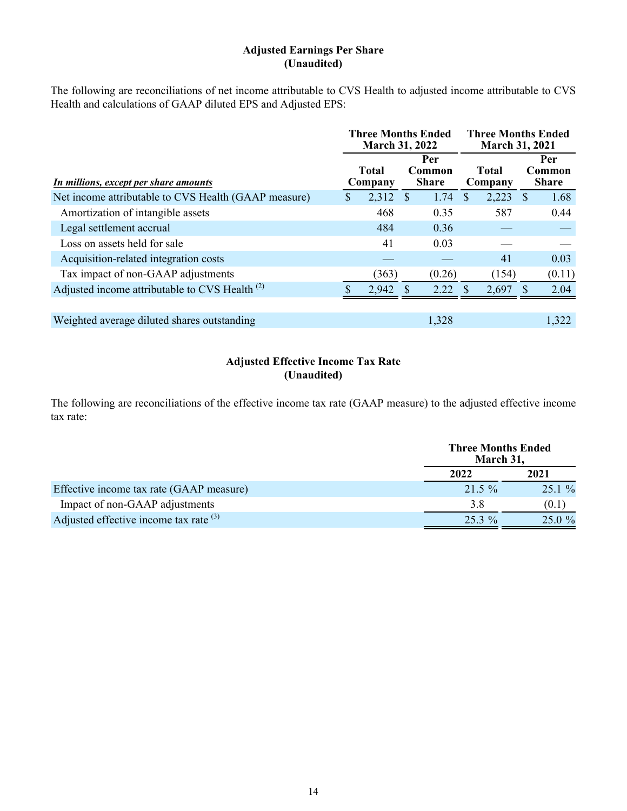#### **Adjusted Earnings Per Share (Unaudited)**

<span id="page-13-0"></span>The following are reconciliations of net income attributable to CVS Health to adjusted income attributable to CVS Health and calculations of GAAP diluted EPS and Adjusted EPS:

|                                                           | <b>Three Months Ended</b><br><b>March 31, 2022</b> |                         |    |                               | <b>March 31, 2021</b> | <b>Three Months Ended</b> |               |                               |
|-----------------------------------------------------------|----------------------------------------------------|-------------------------|----|-------------------------------|-----------------------|---------------------------|---------------|-------------------------------|
| In millions, except per share amounts                     |                                                    | <b>Total</b><br>Company |    | Per<br>Common<br><b>Share</b> |                       | Total<br>Company          |               | Per<br>Common<br><b>Share</b> |
| Net income attributable to CVS Health (GAAP measure)      | S                                                  | 2,312                   | -S | 1.74                          | <b>S</b>              | 2,223                     | <sup>\$</sup> | 1.68                          |
| Amortization of intangible assets                         |                                                    | 468                     |    | 0.35                          |                       | 587                       |               | 0.44                          |
| Legal settlement accrual                                  |                                                    | 484                     |    | 0.36                          |                       |                           |               |                               |
| Loss on assets held for sale                              |                                                    | 41                      |    | 0.03                          |                       |                           |               |                               |
| Acquisition-related integration costs                     |                                                    |                         |    |                               |                       | 41                        |               | 0.03                          |
| Tax impact of non-GAAP adjustments                        |                                                    | (363)                   |    | (0.26)                        |                       | (154)                     |               | (0.11)                        |
| Adjusted income attributable to CVS Health <sup>(2)</sup> |                                                    | 2,942                   |    | 2.22                          |                       | 2,697                     |               | 2.04                          |
|                                                           |                                                    |                         |    |                               |                       |                           |               |                               |
| Weighted average diluted shares outstanding               |                                                    |                         |    | 1,328                         |                       |                           |               | 1,322                         |

## **Adjusted Effective Income Tax Rate (Unaudited)**

The following are reconciliations of the effective income tax rate (GAAP measure) to the adjusted effective income tax rate:

|                                                   | <b>Three Months Ended</b><br>March 31. |           |
|---------------------------------------------------|----------------------------------------|-----------|
|                                                   | 2022                                   | 2021      |
| Effective income tax rate (GAAP measure)          | $21.5 \%$                              | $25.1\%$  |
| Impact of non-GAAP adjustments                    | 38                                     | (0.1)     |
| Adjusted effective income tax rate <sup>(3)</sup> | $25.3\%$                               | $25.0 \%$ |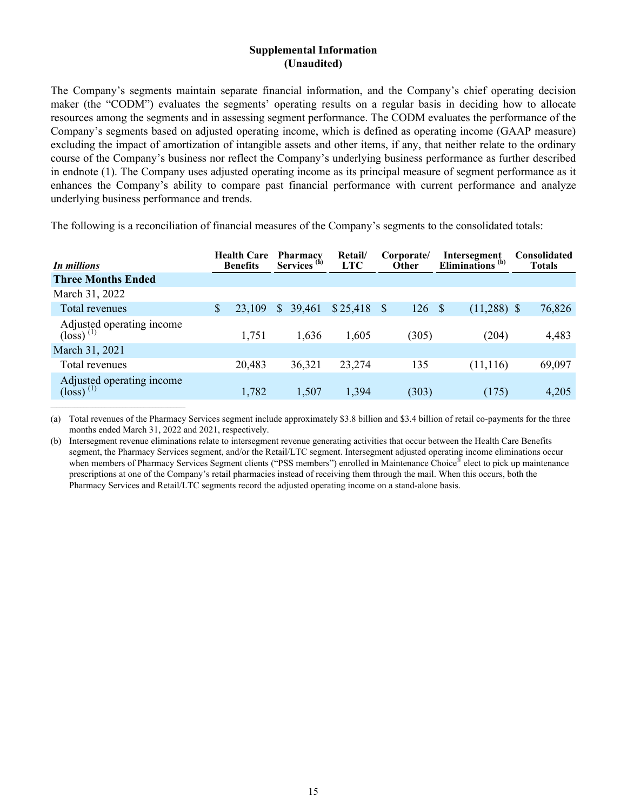The Company's segments maintain separate financial information, and the Company's chief operating decision maker (the "CODM") evaluates the segments' operating results on a regular basis in deciding how to allocate resources among the segments and in assessing segment performance. The CODM evaluates the performance of the Company's segments based on adjusted operating income, which is defined as operating income (GAAP measure) excluding the impact of amortization of intangible assets and other items, if any, that neither relate to the ordinary course of the Company's business nor reflect the Company's underlying business performance as further described in endnote (1). The Company uses adjusted operating income as its principal measure of segment performance as it enhances the Company's ability to compare past financial performance with current performance and analyze underlying business performance and trends.

The following is a reconciliation of financial measures of the Company's segments to the consolidated totals:

| In millions                                                   | <b>Health Care</b><br><b>Benefits</b> |   | Pharmacy<br>Services <sup>(ă)</sup> | <b>Retail</b><br><b>LTC</b> |              | Corporate/<br>Other |    | Intersegment<br>Eliminations <sup><math>(b)</math></sup> | <b>Consolidated</b><br><b>Totals</b> |
|---------------------------------------------------------------|---------------------------------------|---|-------------------------------------|-----------------------------|--------------|---------------------|----|----------------------------------------------------------|--------------------------------------|
| <b>Three Months Ended</b>                                     |                                       |   |                                     |                             |              |                     |    |                                                          |                                      |
| March 31, 2022                                                |                                       |   |                                     |                             |              |                     |    |                                                          |                                      |
| Total revenues                                                | \$<br>23,109                          | S | 39,461                              | \$25,418                    | <sup>8</sup> | 126                 | -S | $(11,288)$ \$                                            | 76,826                               |
| Adjusted operating income<br>$\left(\text{loss}\right)^{(1)}$ | 1,751                                 |   | 1,636                               | 1,605                       |              | (305)               |    | (204)                                                    | 4,483                                |
| March 31, 2021                                                |                                       |   |                                     |                             |              |                     |    |                                                          |                                      |
| Total revenues                                                | 20,483                                |   | 36,321                              | 23,274                      |              | 135                 |    | (11, 116)                                                | 69,097                               |
| Adjusted operating income<br>$\left(\log_{10}(1)\right)$      | 1,782                                 |   | 1,507                               | 1,394                       |              | (303)               |    | (175)                                                    | 4,205                                |

(a) Total revenues of the Pharmacy Services segment include approximately \$3.8 billion and \$3.4 billion of retail co-payments for the three months ended March 31, 2022 and 2021, respectively.

(b) Intersegment revenue eliminations relate to intersegment revenue generating activities that occur between the Health Care Benefits segment, the Pharmacy Services segment, and/or the Retail/LTC segment. Intersegment adjusted operating income eliminations occur when members of Pharmacy Services Segment clients ("PSS members") enrolled in Maintenance Choice® elect to pick up maintenance prescriptions at one of the Company's retail pharmacies instead of receiving them through the mail. When this occurs, both the Pharmacy Services and Retail/LTC segments record the adjusted operating income on a stand-alone basis.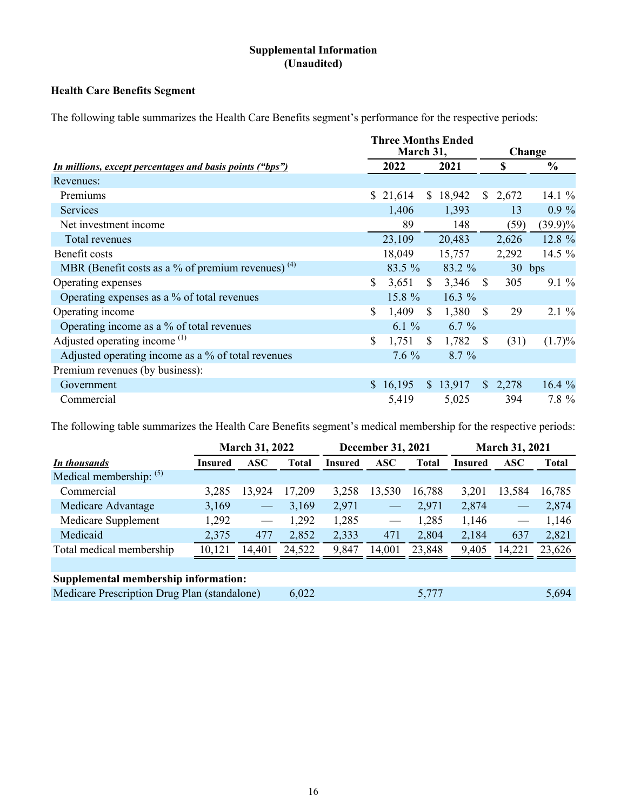## <span id="page-15-0"></span>**Health Care Benefits Segment**

The following table summarizes the Health Care Benefits segment's performance for the respective periods:

|                                                                 |              | <b>Three Months Ended</b><br>March 31, |               |          | Change        |         |               |  |
|-----------------------------------------------------------------|--------------|----------------------------------------|---------------|----------|---------------|---------|---------------|--|
| <u>In millions, except percentages and basis points ("bps")</u> |              | 2022                                   |               | 2021     |               | \$      | $\frac{6}{6}$ |  |
| Revenues:                                                       |              |                                        |               |          |               |         |               |  |
| Premiums                                                        |              | \$21,614                               |               | \$18,942 | $\mathbb{S}$  | 2,672   | 14.1 %        |  |
| <b>Services</b>                                                 |              | 1,406                                  |               | 1,393    |               | 13      | $0.9\%$       |  |
| Net investment income                                           |              | 89                                     |               | 148      |               | (59)    | $(39.9)\%$    |  |
| Total revenues                                                  |              | 23,109                                 |               | 20,483   |               | 2,626   | 12.8 %        |  |
| Benefit costs                                                   |              | 18,049                                 |               | 15,757   |               | 2,292   | 14.5 %        |  |
| MBR (Benefit costs as a % of premium revenues) $(4)$            |              | 83.5 %                                 |               | 83.2 %   |               | 30 bps  |               |  |
| Operating expenses                                              | $\mathbb{S}$ | 3,651                                  | <sup>\$</sup> | 3,346    | <sup>\$</sup> | 305     | $9.1\%$       |  |
| Operating expenses as a % of total revenues                     |              | 15.8 %                                 |               | $16.3\%$ |               |         |               |  |
| Operating income                                                | $\mathbb{S}$ | 1,409                                  | $\mathbb{S}$  | 1,380    | <sup>\$</sup> | 29      | $2.1 \%$      |  |
| Operating income as a % of total revenues                       |              | $6.1 \%$                               |               | $6.7 \%$ |               |         |               |  |
| Adjusted operating income $(1)$                                 | \$           | 1,751                                  | $\mathbb{S}$  | 1,782    | $\mathbb{S}$  | (31)    | (1.7)%        |  |
| Adjusted operating income as a % of total revenues              |              | $7.6\%$                                |               | $8.7\%$  |               |         |               |  |
| Premium revenues (by business):                                 |              |                                        |               |          |               |         |               |  |
| Government                                                      |              | \$16,195                               |               | \$13,917 |               | \$2,278 | 16.4%         |  |
| Commercial                                                      |              | 5,419                                  |               | 5,025    |               | 394     | 7.8 %         |  |

The following table summarizes the Health Care Benefits segment's medical membership for the respective periods:

|                                              |         | <b>March 31, 2022</b>           |              | <b>December 31, 2021</b> |                                 |              |         | <b>March 31, 2021</b> |        |  |  |  |
|----------------------------------------------|---------|---------------------------------|--------------|--------------------------|---------------------------------|--------------|---------|-----------------------|--------|--|--|--|
| In thousands                                 | Insured | <b>ASC</b>                      | <b>Total</b> | <b>Insured</b>           | <b>ASC</b>                      | <b>Total</b> | Insured | <b>ASC</b>            | Total  |  |  |  |
| Medical membership: $(5)$                    |         |                                 |              |                          |                                 |              |         |                       |        |  |  |  |
| Commercial                                   | 3,285   | 13,924                          | 17,209       | 3,258                    | 13,530                          | 16,788       | 3,201   | 13,584                | 16,785 |  |  |  |
| Medicare Advantage                           | 3,169   | $\hspace{0.1cm}$                | 3,169        | 2,971                    |                                 | 2,971        | 2,874   |                       | 2,874  |  |  |  |
| Medicare Supplement                          | 1,292   | $\hspace{0.1mm}-\hspace{0.1mm}$ | 1,292        | 1,285                    | $\hspace{0.1mm}-\hspace{0.1mm}$ | 1,285        | 1,146   |                       | 1,146  |  |  |  |
| Medicaid                                     | 2,375   | 477                             | 2,852        | 2,333                    | 471                             | 2,804        | 2,184   | 637                   | 2,821  |  |  |  |
| Total medical membership                     | 10,121  | 14,401                          | 24,522       | 9,847                    | 14,001                          | 23,848       | 9,405   | 14,221                | 23,626 |  |  |  |
|                                              |         |                                 |              |                          |                                 |              |         |                       |        |  |  |  |
| Supplemental membership information:         |         |                                 |              |                          |                                 |              |         |                       |        |  |  |  |
| Medicare Prescription Drug Plan (standalone) |         |                                 | 6,022        |                          |                                 | 5,777        |         |                       | 5,694  |  |  |  |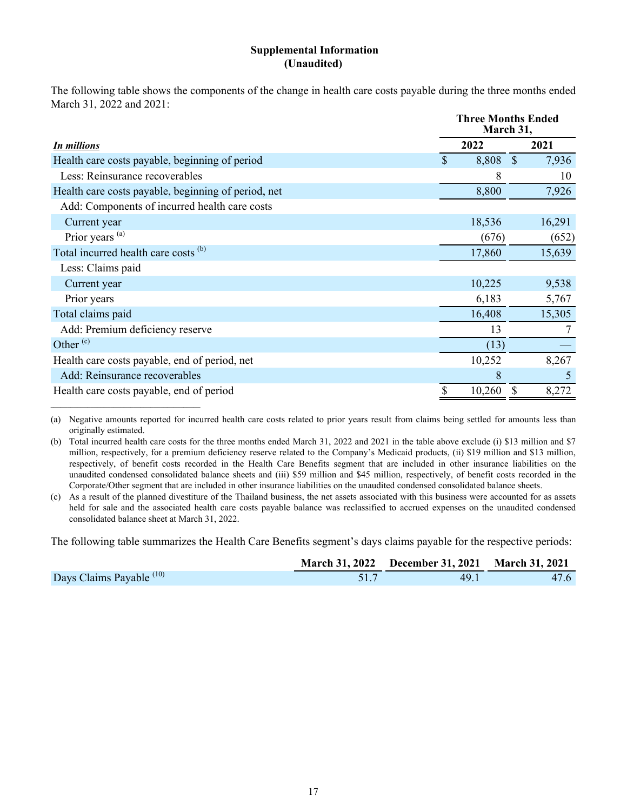The following table shows the components of the change in health care costs payable during the three months ended March 31, 2022 and 2021:

|                                                     |              | <b>Three Months Ended</b><br>March 31, |  |  |  |  |  |  |  |  |
|-----------------------------------------------------|--------------|----------------------------------------|--|--|--|--|--|--|--|--|
| In millions                                         | 2022         | 2021                                   |  |  |  |  |  |  |  |  |
| Health care costs payable, beginning of period      | \$<br>8,808  | $\mathbb{S}$<br>7,936                  |  |  |  |  |  |  |  |  |
| Less: Reinsurance recoverables                      | 8            | 10                                     |  |  |  |  |  |  |  |  |
| Health care costs payable, beginning of period, net | 8,800        | 7,926                                  |  |  |  |  |  |  |  |  |
| Add: Components of incurred health care costs       |              |                                        |  |  |  |  |  |  |  |  |
| Current year                                        | 18,536       | 16,291                                 |  |  |  |  |  |  |  |  |
| Prior years <sup>(a)</sup>                          | (676)        | (652)                                  |  |  |  |  |  |  |  |  |
| Total incurred health care costs (b)                | 17,860       | 15,639                                 |  |  |  |  |  |  |  |  |
| Less: Claims paid                                   |              |                                        |  |  |  |  |  |  |  |  |
| Current year                                        | 10,225       | 9,538                                  |  |  |  |  |  |  |  |  |
| Prior years                                         | 6,183        | 5,767                                  |  |  |  |  |  |  |  |  |
| Total claims paid                                   | 16,408       | 15,305                                 |  |  |  |  |  |  |  |  |
| Add: Premium deficiency reserve                     | 13           |                                        |  |  |  |  |  |  |  |  |
| Other $(c)$                                         | (13)         |                                        |  |  |  |  |  |  |  |  |
| Health care costs payable, end of period, net       | 10,252       | 8,267                                  |  |  |  |  |  |  |  |  |
| Add: Reinsurance recoverables                       | 8            | 5                                      |  |  |  |  |  |  |  |  |
| Health care costs payable, end of period            | \$<br>10,260 | 8,272<br>\$                            |  |  |  |  |  |  |  |  |

(a) Negative amounts reported for incurred health care costs related to prior years result from claims being settled for amounts less than originally estimated.

 $\mathcal{L}_\text{max} = \mathcal{L}_\text{max} = \mathcal{L}_\text{max} = \mathcal{L}_\text{max} = \mathcal{L}_\text{max} = \mathcal{L}_\text{max}$ 

(b) Total incurred health care costs for the three months ended March 31, 2022 and 2021 in the table above exclude (i) \$13 million and \$7 million, respectively, for a premium deficiency reserve related to the Company's Medicaid products, (ii) \$19 million and \$13 million, respectively, of benefit costs recorded in the Health Care Benefits segment that are included in other insurance liabilities on the unaudited condensed consolidated balance sheets and (iii) \$59 million and \$45 million, respectively, of benefit costs recorded in the Corporate/Other segment that are included in other insurance liabilities on the unaudited condensed consolidated balance sheets.

(c) As a result of the planned divestiture of the Thailand business, the net assets associated with this business were accounted for as assets held for sale and the associated health care costs payable balance was reclassified to accrued expenses on the unaudited condensed consolidated balance sheet at March 31, 2022.

The following table summarizes the Health Care Benefits segment's days claims payable for the respective periods:

|                                     | March 31, 2022 December 31, 2021 March 31, 2021 |      |
|-------------------------------------|-------------------------------------------------|------|
| Days Claims Payable <sup>(10)</sup> | 49.1                                            | 47.6 |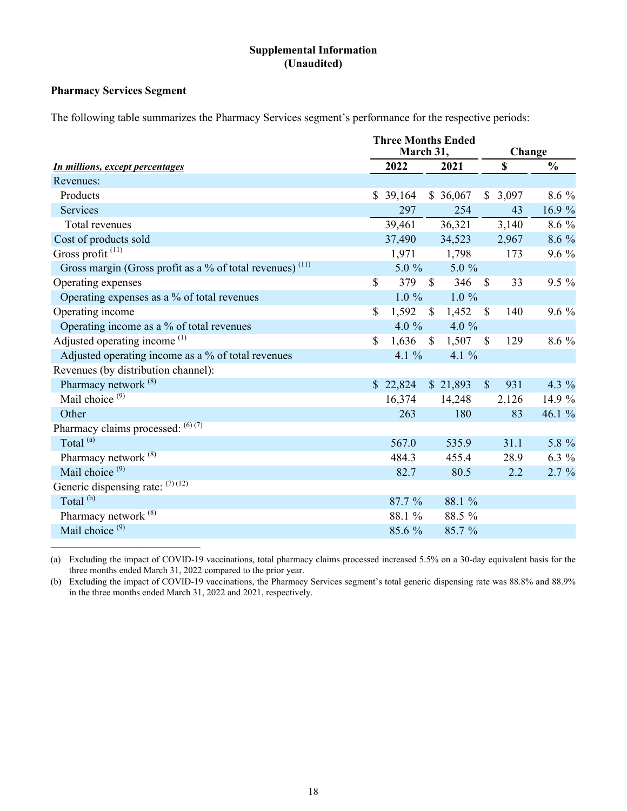#### <span id="page-17-0"></span>**Pharmacy Services Segment**

 $\mathcal{L}_\text{max} = \mathcal{L}_\text{max} = \mathcal{L}_\text{max} = \mathcal{L}_\text{max} = \mathcal{L}_\text{max} = \mathcal{L}_\text{max} = \mathcal{L}_\text{max}$ 

The following table summarizes the Pharmacy Services segment's performance for the respective periods:

|                                                                      |              | <b>Three Months Ended</b><br>March 31, |              | Change   |               |         |               |
|----------------------------------------------------------------------|--------------|----------------------------------------|--------------|----------|---------------|---------|---------------|
| <b>In millions, except percentages</b>                               |              | 2022                                   |              | 2021     |               | \$      | $\frac{0}{0}$ |
| Revenues:                                                            |              |                                        |              |          |               |         |               |
| Products                                                             |              | \$39,164                               |              | \$36,067 |               | \$3,097 | 8.6 %         |
| <b>Services</b>                                                      |              | 297                                    |              | 254      |               | 43      | 16.9 %        |
| Total revenues                                                       |              | 39,461                                 |              | 36,321   |               | 3,140   | 8.6 %         |
| Cost of products sold                                                |              | 37,490                                 |              | 34,523   |               | 2,967   | 8.6 %         |
| Gross profit $(11)$                                                  |              | 1,971                                  |              | 1,798    |               | 173     | $9.6\%$       |
| Gross margin (Gross profit as a % of total revenues) <sup>(11)</sup> |              | $5.0 \%$                               |              | $5.0 \%$ |               |         |               |
| Operating expenses                                                   | $\mathbb{S}$ | 379                                    | $\mathbf S$  | 346      | $\mathbb{S}$  | 33      | 9.5 %         |
| Operating expenses as a % of total revenues                          |              | $1.0\%$                                |              | $1.0\%$  |               |         |               |
| Operating income                                                     | $\mathbf S$  | 1,592                                  | $\mathbb{S}$ | 1,452    | $\mathcal{S}$ | 140     | $9.6\%$       |
| Operating income as a % of total revenues                            |              | 4.0 $%$                                |              | 4.0 $%$  |               |         |               |
| Adjusted operating income <sup>(1)</sup>                             | \$           | 1,636                                  | $\mathbb{S}$ | 1,507    | $\mathcal{S}$ | 129     | 8.6 %         |
| Adjusted operating income as a % of total revenues                   |              | 4.1 $\%$                               |              | 4.1 $\%$ |               |         |               |
| Revenues (by distribution channel):                                  |              |                                        |              |          |               |         |               |
| Pharmacy network <sup>(8)</sup>                                      |              | \$22,824                               |              | \$21,893 | $\mathbb{S}$  | 931     | 4.3 %         |
| Mail choice <sup>(9)</sup>                                           |              | 16,374                                 |              | 14,248   |               | 2,126   | 14.9 %        |
| Other                                                                |              | 263                                    |              | 180      |               | 83      | 46.1 %        |
| Pharmacy claims processed: $^{(6)(7)}$                               |              |                                        |              |          |               |         |               |
| Total <sup>(a)</sup>                                                 |              | 567.0                                  |              | 535.9    |               | 31.1    | 5.8 %         |
| Pharmacy network <sup>(8)</sup>                                      |              | 484.3                                  |              | 455.4    |               | 28.9    | $6.3\%$       |
| Mail choice <sup>(9)</sup>                                           |              | 82.7                                   |              | 80.5     |               | 2.2     | $2.7 \%$      |
| Generic dispensing rate: $(7)(12)$                                   |              |                                        |              |          |               |         |               |
| Total <sup>(b)</sup>                                                 |              | 87.7 %                                 |              | 88.1 %   |               |         |               |
| Pharmacy network <sup>(8)</sup>                                      |              | 88.1 %                                 |              | 88.5 %   |               |         |               |
| Mail choice <sup>(9)</sup>                                           |              | 85.6 %                                 |              | 85.7 %   |               |         |               |

(a) Excluding the impact of COVID-19 vaccinations, total pharmacy claims processed increased 5.5% on a 30-day equivalent basis for the three months ended March 31, 2022 compared to the prior year.

(b) Excluding the impact of COVID-19 vaccinations, the Pharmacy Services segment's total generic dispensing rate was 88.8% and 88.9% in the three months ended March 31, 2022 and 2021, respectively.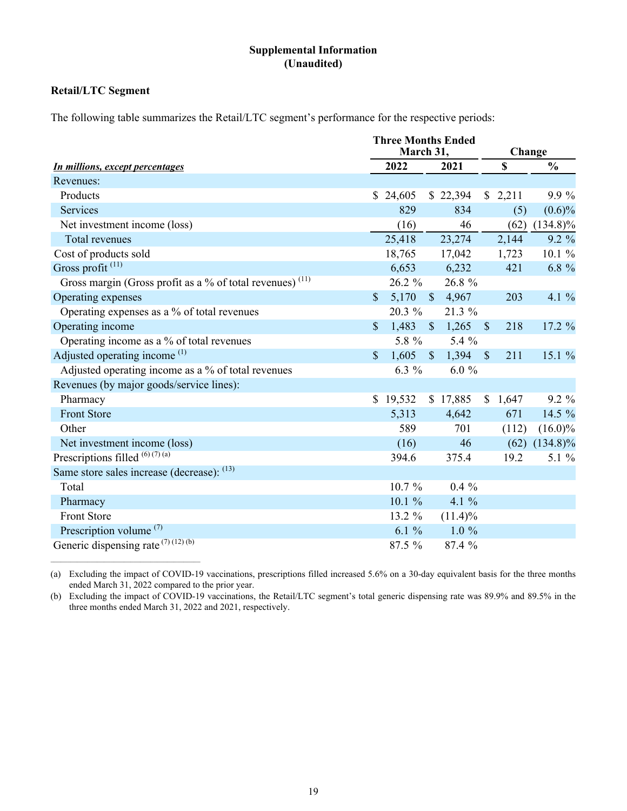## <span id="page-18-0"></span>**Retail/LTC Segment**

 $\mathcal{L}_\text{max} = \mathcal{L}_\text{max} = \mathcal{L}_\text{max} = \mathcal{L}_\text{max} = \mathcal{L}_\text{max} = \mathcal{L}_\text{max} = \mathcal{L}_\text{max}$ 

The following table summarizes the Retail/LTC segment's performance for the respective periods:

|                                                                      |              | <b>Three Months Ended</b><br>March 31, | Change       |            |              |         |                          |
|----------------------------------------------------------------------|--------------|----------------------------------------|--------------|------------|--------------|---------|--------------------------|
| In millions, except percentages                                      |              | 2022                                   |              | 2021       |              | \$      | $\overline{\frac{0}{0}}$ |
| Revenues:                                                            |              |                                        |              |            |              |         |                          |
| Products                                                             | \$.          | 24,605                                 |              | \$22,394   |              | \$2,211 | 9.9%                     |
| Services                                                             |              | 829                                    |              | 834        |              | (5)     | $(0.6)\%$                |
| Net investment income (loss)                                         |              | (16)                                   |              | 46         |              | (62)    | $(134.8)\%$              |
| <b>Total revenues</b>                                                |              | 25,418                                 |              | 23,274     |              | 2,144   | $9.2\%$                  |
| Cost of products sold                                                |              | 18,765                                 |              | 17,042     |              | 1,723   | $10.1 \%$                |
| Gross profit <sup>(11)</sup>                                         |              | 6,653                                  |              | 6,232      |              | 421     | $6.8 \%$                 |
| Gross margin (Gross profit as a % of total revenues) <sup>(11)</sup> |              | 26.2 %                                 |              | 26.8 %     |              |         |                          |
| Operating expenses                                                   | $\mathbb{S}$ | 5,170                                  |              | \$4,967    |              | 203     | 4.1 $%$                  |
| Operating expenses as a % of total revenues                          |              | 20.3 %                                 |              | 21.3 %     |              |         |                          |
| Operating income                                                     | $\mathbb{S}$ | 1,483                                  | $\mathbb{S}$ | 1,265      | $\mathbb{S}$ | 218     | 17.2 %                   |
| Operating income as a % of total revenues                            |              | 5.8 %                                  |              | 5.4 %      |              |         |                          |
| Adjusted operating income <sup>(1)</sup>                             | $\mathbb{S}$ | 1,605                                  | $\mathbb{S}$ | 1,394      | $\sqrt{\ }$  | 211     | 15.1%                    |
| Adjusted operating income as a % of total revenues                   |              | $6.3\%$                                |              | $6.0 \%$   |              |         |                          |
| Revenues (by major goods/service lines):                             |              |                                        |              |            |              |         |                          |
| Pharmacy                                                             |              | \$19,532                               |              | \$17,885   |              | \$1,647 | $9.2\%$                  |
| <b>Front Store</b>                                                   |              | 5,313                                  |              | 4,642      |              | 671     | 14.5 %                   |
| Other                                                                |              | 589                                    |              | 701        |              | (112)   | $(16.0)\%$               |
| Net investment income (loss)                                         |              | (16)                                   |              | 46         |              | (62)    | $(134.8)\%$              |
| Prescriptions filled $^{(6)(7)(a)}$                                  |              | 394.6                                  |              | 375.4      |              | 19.2    | 5.1 $%$                  |
| Same store sales increase (decrease): (13)                           |              |                                        |              |            |              |         |                          |
| Total                                                                |              | 10.7%                                  |              | $0.4\%$    |              |         |                          |
| Pharmacy                                                             |              | 10.1 %                                 |              | 4.1 %      |              |         |                          |
| <b>Front Store</b>                                                   |              | 13.2 %                                 |              | $(11.4)\%$ |              |         |                          |
| Prescription volume <sup>(7)</sup>                                   |              | $6.1 \%$                               |              | $1.0\%$    |              |         |                          |
| Generic dispensing rate $(7)(12)(b)$                                 |              | 87.5 %                                 |              | 87.4 %     |              |         |                          |

(a) Excluding the impact of COVID-19 vaccinations, prescriptions filled increased 5.6% on a 30-day equivalent basis for the three months ended March 31, 2022 compared to the prior year.

(b) Excluding the impact of COVID-19 vaccinations, the Retail/LTC segment's total generic dispensing rate was 89.9% and 89.5% in the three months ended March 31, 2022 and 2021, respectively.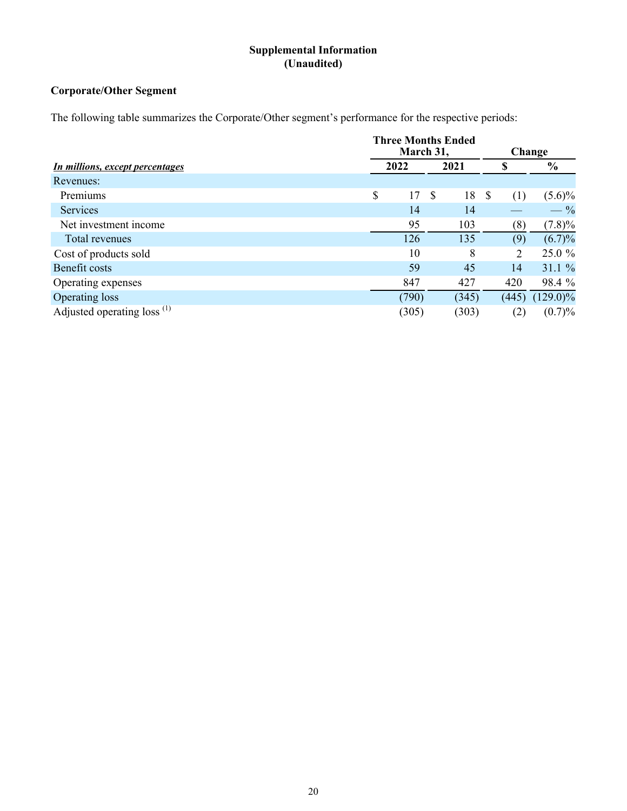## **Corporate/Other Segment**

The following table summarizes the Corporate/Other segment's performance for the respective periods:

|                                        |    | <b>Three Months Ended</b><br>March 31, | Change   |       |   |       |               |
|----------------------------------------|----|----------------------------------------|----------|-------|---|-------|---------------|
| In millions, except percentages        |    | 2022                                   | 2021     |       | S |       | $\frac{0}{0}$ |
| Revenues:                              |    |                                        |          |       |   |       |               |
| Premiums                               | \$ | 17                                     | <b>S</b> | 18    | S | (1)   | $(5.6)\%$     |
| <b>Services</b>                        |    | 14                                     |          | 14    |   |       | $-$ %         |
| Net investment income                  |    | 95                                     |          | 103   |   | (8)   | $(7.8)\%$     |
| Total revenues                         |    | 126                                    |          | 135   |   | (9)   | (6.7)%        |
| Cost of products sold                  |    | 10                                     |          | 8     |   | 2     | 25.0 %        |
| Benefit costs                          |    | 59                                     |          | 45    |   | 14    | 31.1%         |
| Operating expenses                     |    | 847                                    |          | 427   |   | 420   | 98.4 %        |
| Operating loss                         |    | (790)                                  |          | (345) |   | (445) | $(129.0)\%$   |
| Adjusted operating loss <sup>(1)</sup> |    | (305)                                  |          | (303) |   | (2)   | (0.7)%        |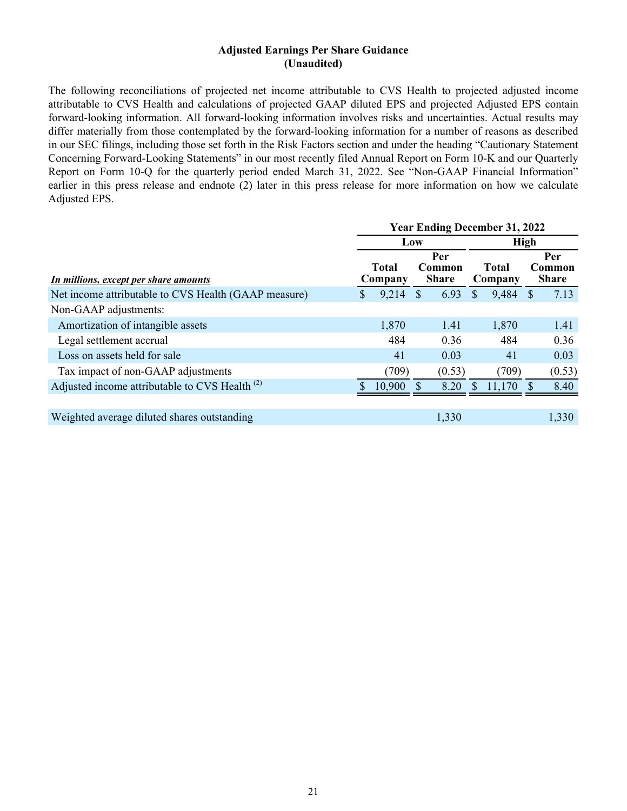#### **Adjusted Earnings Per Share Guidance (Unaudited)**

<span id="page-20-0"></span>The following reconciliations of projected net income attributable to CVS Health to projected adjusted income attributable to CVS Health and calculations of projected GAAP diluted EPS and projected Adjusted EPS contain forward-looking information. All forward-looking information involves risks and uncertainties. Actual results may differ materially from those contemplated by the forward-looking information for a number of reasons as described in our SEC filings, including those set forth in the Risk Factors section and under the heading "Cautionary Statement Concerning Forward-Looking Statements" in our most recently filed Annual Report on Form 10-K and our Quarterly Report on Form 10-Q for the quarterly period ended March 31, 2022. See "Non-GAAP Financial Information" earlier in this press release and endnote (2) later in this press release for more information on how we calculate Adjusted EPS.

|                                                           | <b>Year Ending December 31, 2022</b> |                         |                               |        |    |                         |               |                               |  |
|-----------------------------------------------------------|--------------------------------------|-------------------------|-------------------------------|--------|----|-------------------------|---------------|-------------------------------|--|
|                                                           |                                      | Low                     |                               |        |    |                         | <b>High</b>   |                               |  |
| In millions, except per share amounts                     |                                      | <b>Total</b><br>Company | Per<br>Common<br><b>Share</b> |        |    | <b>Total</b><br>Company |               | Per<br>Common<br><b>Share</b> |  |
| Net income attributable to CVS Health (GAAP measure)      | \$                                   | 9,214                   | \$                            | 6.93   | \$ | 9,484                   | <sup>\$</sup> | 7.13                          |  |
| Non-GAAP adjustments:                                     |                                      |                         |                               |        |    |                         |               |                               |  |
| Amortization of intangible assets                         |                                      | 1,870                   |                               | 1.41   |    | 1,870                   |               | 1.41                          |  |
| Legal settlement accrual                                  |                                      | 484                     |                               | 0.36   |    | 484                     |               | 0.36                          |  |
| Loss on assets held for sale                              |                                      | 41                      |                               | 0.03   |    | 41                      |               | 0.03                          |  |
| Tax impact of non-GAAP adjustments                        |                                      | (709)                   |                               | (0.53) |    | (709)                   |               | (0.53)                        |  |
| Adjusted income attributable to CVS Health <sup>(2)</sup> |                                      | 10,900                  |                               | 8.20   |    | 11,170                  |               | 8.40                          |  |
|                                                           |                                      |                         |                               |        |    |                         |               |                               |  |
| Weighted average diluted shares outstanding               |                                      |                         |                               | 1,330  |    |                         |               | 1,330                         |  |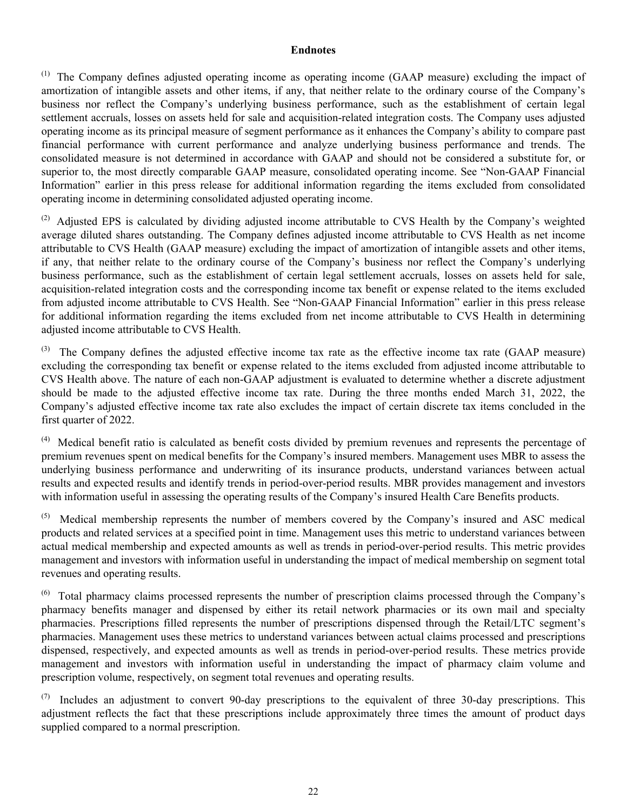#### **Endnotes**

<span id="page-21-0"></span>(1) The Company defines adjusted operating income as operating income (GAAP measure) excluding the impact of amortization of intangible assets and other items, if any, that neither relate to the ordinary course of the Company's business nor reflect the Company's underlying business performance, such as the establishment of certain legal settlement accruals, losses on assets held for sale and acquisition-related integration costs. The Company uses adjusted operating income as its principal measure of segment performance as it enhances the Company's ability to compare past financial performance with current performance and analyze underlying business performance and trends. The consolidated measure is not determined in accordance with GAAP and should not be considered a substitute for, or superior to, the most directly comparable GAAP measure, consolidated operating income. See "Non-GAAP Financial Information" earlier in this press release for additional information regarding the items excluded from consolidated operating income in determining consolidated adjusted operating income.

 $(2)$  Adjusted EPS is calculated by dividing adjusted income attributable to CVS Health by the Company's weighted average diluted shares outstanding. The Company defines adjusted income attributable to CVS Health as net income attributable to CVS Health (GAAP measure) excluding the impact of amortization of intangible assets and other items, if any, that neither relate to the ordinary course of the Company's business nor reflect the Company's underlying business performance, such as the establishment of certain legal settlement accruals, losses on assets held for sale, acquisition-related integration costs and the corresponding income tax benefit or expense related to the items excluded from adjusted income attributable to CVS Health. See "Non-GAAP Financial Information" earlier in this press release for additional information regarding the items excluded from net income attributable to CVS Health in determining adjusted income attributable to CVS Health.

 $(3)$ The Company defines the adjusted effective income tax rate as the effective income tax rate (GAAP measure) excluding the corresponding tax benefit or expense related to the items excluded from adjusted income attributable to CVS Health above. The nature of each non-GAAP adjustment is evaluated to determine whether a discrete adjustment should be made to the adjusted effective income tax rate. During the three months ended March 31, 2022, the Company's adjusted effective income tax rate also excludes the impact of certain discrete tax items concluded in the first quarter of 2022.

 $<sup>(4)</sup>$  Medical benefit ratio is calculated as benefit costs divided by premium revenues and represents the percentage of</sup> premium revenues spent on medical benefits for the Company's insured members. Management uses MBR to assess the underlying business performance and underwriting of its insurance products, understand variances between actual results and expected results and identify trends in period-over-period results. MBR provides management and investors with information useful in assessing the operating results of the Company's insured Health Care Benefits products.

 $(5)$ Medical membership represents the number of members covered by the Company's insured and ASC medical products and related services at a specified point in time. Management uses this metric to understand variances between actual medical membership and expected amounts as well as trends in period-over-period results. This metric provides management and investors with information useful in understanding the impact of medical membership on segment total revenues and operating results.

 $(6)$ Total pharmacy claims processed represents the number of prescription claims processed through the Company's pharmacy benefits manager and dispensed by either its retail network pharmacies or its own mail and specialty pharmacies. Prescriptions filled represents the number of prescriptions dispensed through the Retail/LTC segment's pharmacies. Management uses these metrics to understand variances between actual claims processed and prescriptions dispensed, respectively, and expected amounts as well as trends in period-over-period results. These metrics provide management and investors with information useful in understanding the impact of pharmacy claim volume and prescription volume, respectively, on segment total revenues and operating results.

 $(7)$  Includes an adjustment to convert 90-day prescriptions to the equivalent of three 30-day prescriptions. This adjustment reflects the fact that these prescriptions include approximately three times the amount of product days supplied compared to a normal prescription.